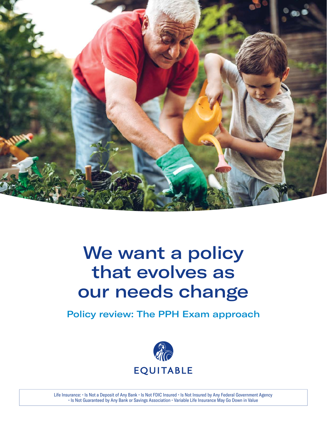

# We want a policy that evolves as our needs change

Policy review: The PPH Exam approach



Life Insurance: • Is Not a Deposit of Any Bank • Is Not FDIC Insured • Is Not Insured by Any Federal Government Agency • Is Not Guaranteed by Any Bank or Savings Association • Variable Life Insurance May Go Down in Value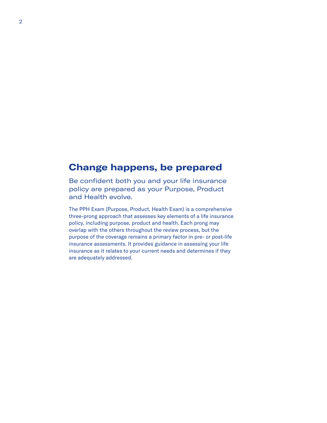### **Change happens, be prepared**

Be confident both you and your life insurance policy are prepared as your Purpose, Product and Health evolve.

The PPH Exam (Purpose, Product, Health Exam) is a comprehensive three-prong approach that assesses key elements of a life insurance policy, including purpose, product and health. Each prong may overlap with the others throughout the review process, but the purpose of the coverage remains a primary factor in pre- or post-life insurance assessments. It provides guidance in assessing your life insurance as it relates to your current needs and determines if they are adequately addressed.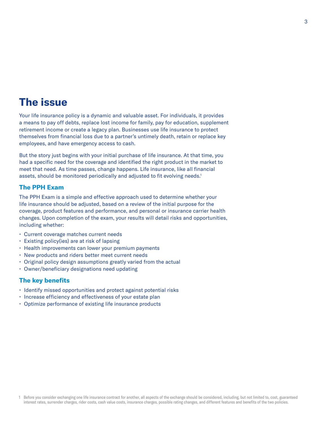## **The issue**

Your life insurance policy is a dynamic and valuable asset. For individuals, it provides a means to pay off debts, replace lost income for family, pay for education, supplement retirement income or create a legacy plan. Businesses use life insurance to protect themselves from financial loss due to a partner's untimely death, retain or replace key employees, and have emergency access to cash.

But the story just begins with your initial purchase of life insurance. At that time, you had a specific need for the coverage and identified the right product in the market to meet that need. As time passes, change happens. Life insurance, like all financial assets, should be monitored periodically and adjusted to fit evolving needs.<sup>1</sup>

#### **The PPH Exam**

The PPH Exam is a simple and effective approach used to determine whether your life insurance should be adjusted, based on a review of the initial purpose for the coverage, product features and performance, and personal or insurance carrier health changes. Upon completion of the exam, your results will detail risks and opportunities, including whether:

- Current coverage matches current needs
- Existing policy(ies) are at risk of lapsing
- Health improvements can lower your premium payments
- New products and riders better meet current needs
- Original policy design assumptions greatly varied from the actual
- Owner/beneficiary designations need updating

#### **The key benefits**

- Identify missed opportunities and protect against potential risks
- Increase efficiency and effectiveness of your estate plan
- Optimize performance of existing life insurance products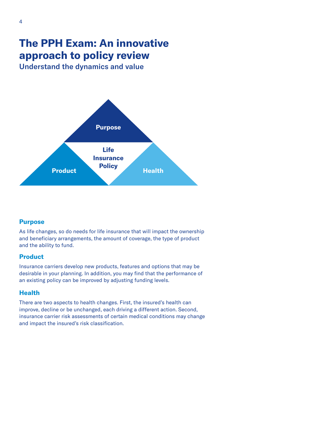## **The PPH Exam: An innovative approach to policy review**

Understand the dynamics and value



#### **Purpose**

As life changes, so do needs for life insurance that will impact the ownership and beneficiary arrangements, the amount of coverage, the type of product and the ability to fund.

#### **Product**

Insurance carriers develop new products, features and options that may be desirable in your planning. In addition, you may find that the performance of an existing policy can be improved by adjusting funding levels.

#### **Health**

There are two aspects to health changes. First, the insured's health can improve, decline or be unchanged, each driving a different action. Second, insurance carrier risk assessments of certain medical conditions may change and impact the insured's risk classification.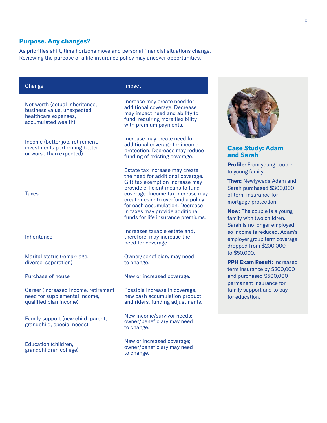#### **Purpose. Any changes?**

As priorities shift, time horizons move and personal financial situations change. Reviewing the purpose of a life insurance policy may uncover opportunities.

| Change                                                                                                      | Impact                                                                                                                                                                                                                                                                                                                           |
|-------------------------------------------------------------------------------------------------------------|----------------------------------------------------------------------------------------------------------------------------------------------------------------------------------------------------------------------------------------------------------------------------------------------------------------------------------|
| Net worth (actual inheritance,<br>business value, unexpected<br>healthcare expenses,<br>accumulated wealth) | Increase may create need for<br>additional coverage. Decrease<br>may impact need and ability to<br>fund, requiring more flexibility<br>with premium payments.                                                                                                                                                                    |
| Income (better job, retirement,<br>investments performing better<br>or worse than expected)                 | Increase may create need for<br>additional coverage for income<br>protection. Decrease may reduce<br>funding of existing coverage.                                                                                                                                                                                               |
| <b>Taxes</b>                                                                                                | Estate tax increase may create<br>the need for additional coverage.<br>Gift tax exemption increase may<br>provide efficient means to fund<br>coverage. Income tax increase may<br>create desire to overfund a policy<br>for cash accumulation. Decrease<br>in taxes may provide additional<br>funds for life insurance premiums. |
| Inheritance                                                                                                 | Increases taxable estate and,<br>therefore, may increase the<br>need for coverage.                                                                                                                                                                                                                                               |
| Marital status (remarriage,<br>divorce, separation)                                                         | Owner/beneficiary may need<br>to change.                                                                                                                                                                                                                                                                                         |
| <b>Purchase of house</b>                                                                                    | New or increased coverage.                                                                                                                                                                                                                                                                                                       |
| Career (increased income, retirement<br>need for supplemental income,<br>qualified plan income)             | Possible increase in coverage,<br>new cash accumulation product<br>and riders, funding adjustments.                                                                                                                                                                                                                              |
| Family support (new child, parent,<br>grandchild, special needs)                                            | New income/survivor needs;<br>owner/beneficiary may need<br>to change.                                                                                                                                                                                                                                                           |
| Education (children,<br>grandchildren college)                                                              | New or increased coverage;<br>owner/beneficiary may need<br>to change.                                                                                                                                                                                                                                                           |



#### **Case Study: Adam and Sarah**

**Profile:** From young couple to young family

**Then:** Newlyweds Adam and Sarah purchased \$300,000 of term insurance for mortgage protection.

**Now:** The couple is a young family with two children. Sarah is no longer employed, so income is reduced. Adam's employer group term coverage dropped from \$200,000 to \$50,000.

**PPH Exam Result:** Increased term insurance by \$200,000 and purchased \$500,000 permanent insurance for family support and to pay for education.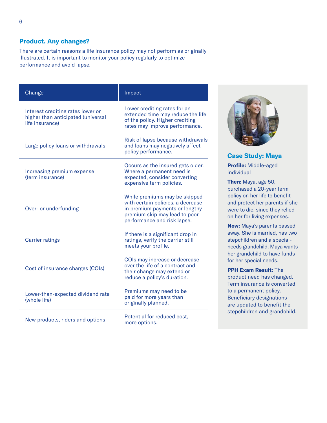#### **Product. Any changes?**

There are certain reasons a life insurance policy may not perform as originally illustrated. It is important to monitor your policy regularly to optimize performance and avoid lapse.

| Change                                                                                     | Impact                                                                                                                                                               |
|--------------------------------------------------------------------------------------------|----------------------------------------------------------------------------------------------------------------------------------------------------------------------|
| Interest crediting rates lower or<br>higher than anticipated (universal<br>life insurance) | Lower crediting rates for an<br>extended time may reduce the life<br>of the policy. Higher crediting<br>rates may improve performance.                               |
| Large policy loans or withdrawals                                                          | Risk of lapse because withdrawals<br>and loans may negatively affect<br>policy performance.                                                                          |
| Increasing premium expense<br>(term insurance)                                             | Occurs as the insured gets older.<br>Where a permanent need is<br>expected, consider converting<br>expensive term policies.                                          |
| Over- or underfunding                                                                      | While premiums may be skipped<br>with certain policies, a decrease<br>in premium payments or lengthy<br>premium skip may lead to poor<br>performance and risk lapse. |
| <b>Carrier ratings</b>                                                                     | If there is a significant drop in<br>ratings, verify the carrier still<br>meets your profile.                                                                        |
| Cost of insurance charges (COIs)                                                           | COIs may increase or decrease<br>over the life of a contract and<br>their change may extend or<br>reduce a policy's duration.                                        |
| Lower-than-expected dividend rate<br>(whole life)                                          | Premiums may need to be<br>paid for more years than<br>originally planned.                                                                                           |
| New products, riders and options                                                           | Potential for reduced cost,<br>more options.                                                                                                                         |



**Case Study: Maya Profile:** Middle-aged individual

**Then:** Maya, age 50, purchased a 20-year term policy on her life to benefit and protect her parents if she were to die, since they relied on her for living expenses.

**Now:** Maya's parents passed away. She is married, has two stepchildren and a specialneeds grandchild. Maya wants her grandchild to have funds for her special needs.

**PPH Exam Result:** The product need has changed. Term insurance is converted to a permanent policy. Beneficiary designations are updated to benefit the stepchildren and grandchild.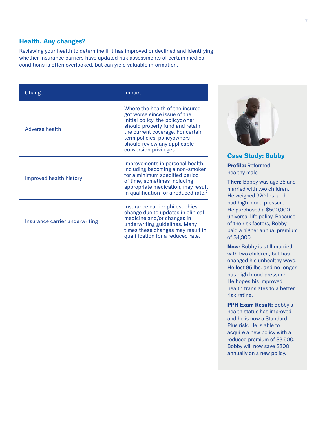#### **Health. Any changes?**

Reviewing your health to determine if it has improved or declined and identifying whether insurance carriers have updated risk assessments of certain medical conditions is often overlooked, but can yield valuable information.

| Change                         | <b>Impact</b>                                                                                                                                                                                                                                                       |
|--------------------------------|---------------------------------------------------------------------------------------------------------------------------------------------------------------------------------------------------------------------------------------------------------------------|
| Adverse health                 | Where the health of the insured<br>got worse since issue of the<br>initial policy, the policyowner<br>should properly fund and retain<br>the current coverage. For certain<br>term policies, policyowners<br>should review any applicable<br>conversion privileges. |
| Improved health history        | Improvements in personal health,<br>including becoming a non-smoker<br>for a minimum specified period<br>of time, sometimes including<br>appropriate medication, may result<br>in qualification for a reduced rate. <sup>2</sup>                                    |
| Insurance carrier underwriting | Insurance carrier philosophies<br>change due to updates in clinical<br>medicine and/or changes in<br>underwriting guidelines. Many<br>times these changes may result in<br>qualification for a reduced rate.                                                        |



**Case Study: Bobby Profile:** Reformed

healthy male

**Then:** Bobby was age 35 and married with two children. He weighed 320 lbs. and ad high blood pressure. He purchased a \$500,000 universal life policy. Because of the risk factors, Bobby paid a higher annual premium of \$4,300.

**Now:** Bobby is still married with two children, but has changed his unhealthy ways. He lost 95 lbs. and no longer has high blood pressure. He hopes his improved health translates to a better risk rating.

**PPH Exam Result:** Bobby's health status has improved and he is now a Standard Plus risk. He is able to acquire a new policy with a reduced premium of \$3,500. Bobby will now save \$800 annually on a new policy.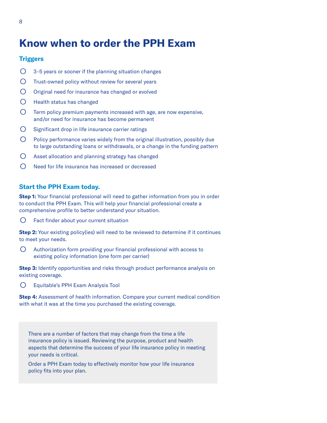## **Know when to order the PPH Exam**

#### **Triggers**

- $O$  3–5 years or sooner if the planning situation changes
- Trust-owned policy without review for several years
- O Original need for insurance has changed or evolved
- Health status has changed
- $\bigcirc$  Term policy premium payments increased with age, are now expensive, and/or need for insurance has become permanent
- Significant drop in life insurance carrier ratings
- Policy performance varies widely from the original illustration, possibly due to large outstanding loans or withdrawals, or a change in the funding pattern
- O Asset allocation and planning strategy has changed
- Need for life insurance has increased or decreased

#### **Start the PPH Exam today.**

**Step 1:** Your financial professional will need to gather information from you in order to conduct the PPH Exam. This will help your financial professional create a comprehensive profile to better understand your situation.

○ Fact finder about your current situation

**Step 2:** Your existing policy(ies) will need to be reviewed to determine if it continues to meet your needs.

○ Authorization form providing your financial professional with access to existing policy information (one form per carrier)

**Step 3:** Identify opportunities and risks through product performance analysis on existing coverage.

○ Equitable's PPH Exam Analysis Tool

**Step 4:** Assessment of health information. Compare your current medical condition with what it was at the time you purchased the existing coverage.

There are a number of factors that may change from the time a life insurance policy is issued. Reviewing the purpose, product and health aspects that determine the success of your life insurance policy in meeting your needs is critical.

Order a PPH Exam today to effectively monitor how your life insurance policy fits into your plan.